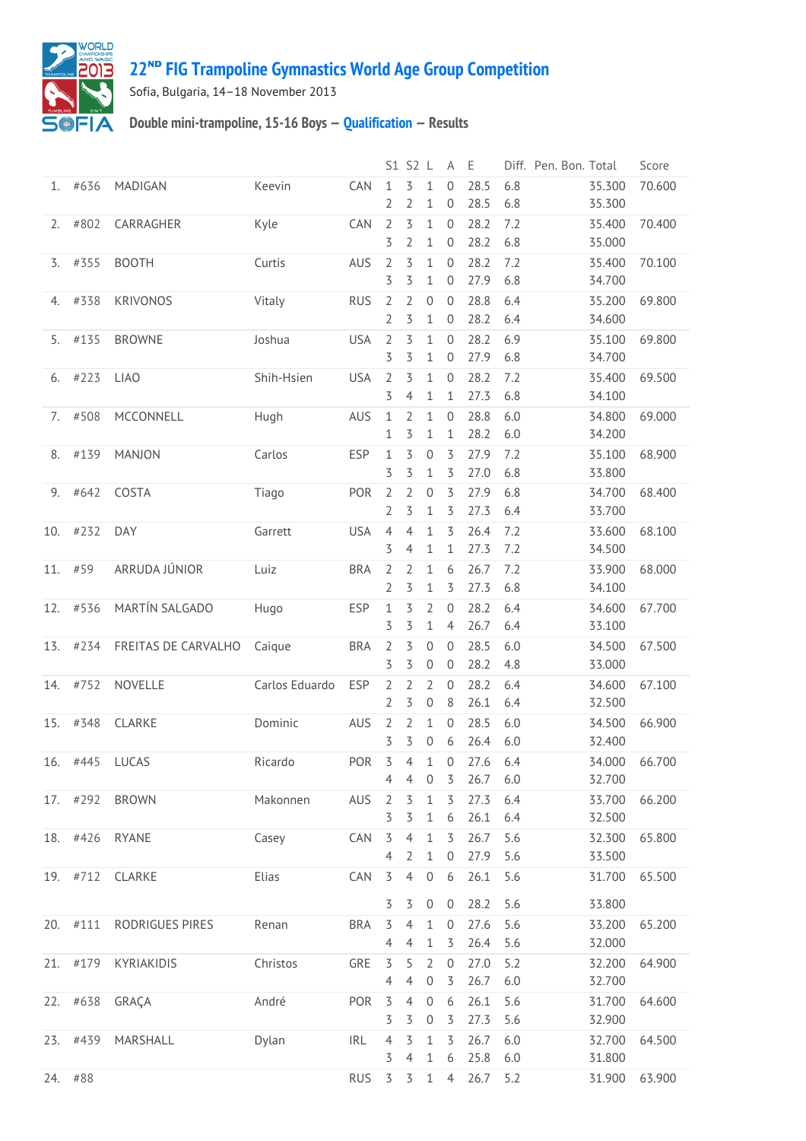

## **22ᴺᴰ [FIG Trampoline Gymnastics World Age Group Competition](http://192.168.1.7:9001/event)**

Sofia, Bulgaria, 14–18 November 2013

## **Double mini-trampoline, 15-16 Boys — [Qualification](http://192.168.1.7:9001/stage/24) — Results**

|     |          |                     |                |            |                                  | S1 S2 L                          |                                  | A                             | E            | Diff. Pen. Bon. Total |                  | Score  |
|-----|----------|---------------------|----------------|------------|----------------------------------|----------------------------------|----------------------------------|-------------------------------|--------------|-----------------------|------------------|--------|
| 1.  | #636     | MADIGAN             | Keevin         | CAN        | 1<br>2                           | 3<br>2                           | 1<br>$\mathbf 1$                 | $\mathbf{0}$<br>0             | 28.5<br>28.5 | 6.8<br>6.8            | 35.300<br>35.300 | 70.600 |
| 2.  | #802     | CARRAGHER           | Kyle           | CAN        | $\overline{2}$<br>3              | 3<br>2                           | $\mathbf 1$<br>1                 | $\mathbf 0$<br>$\mathbf 0$    | 28.2<br>28.2 | 7.2<br>6.8            | 35.400<br>35.000 | 70.400 |
| 3.  | #355     | <b>BOOTH</b>        | Curtis         | AUS        | $\overline{2}$<br>3              | 3<br>3                           | $\mathbf{1}$<br>1                | $\mathbf{0}$<br>0             | 28.2<br>27.9 | 7.2<br>6.8            | 35.400<br>34.700 | 70.100 |
| 4.  | #338     | <b>KRIVONOS</b>     | Vitaly         | <b>RUS</b> | $\overline{2}$<br>2              | 2<br>3                           | $\overline{0}$<br>1              | $\mathbf{0}$<br>$\mathbf 0$   | 28.8<br>28.2 | 6.4<br>6.4            | 35.200<br>34.600 | 69.800 |
| 5.  | #135     | <b>BROWNE</b>       | Joshua         | <b>USA</b> | $\overline{2}$<br>3              | 3<br>3                           | 1<br>1                           | $\overline{0}$<br>0           | 28.2<br>27.9 | 6.9<br>6.8            | 35.100<br>34.700 | 69.800 |
| 6.  | #223     | <b>LIAO</b>         | Shih-Hsien     | <b>USA</b> | $\overline{2}$<br>3              | 3<br>4                           | $\mathbf{1}$<br>1                | $\mathbf 0$<br>1              | 28.2<br>27.3 | 7.2<br>6.8            | 35.400<br>34.100 | 69.500 |
| 7.  | #508     | MCCONNELL           | Hugh           | AUS        | $\mathbf{1}$<br>1                | $\overline{2}$<br>3              | $\mathbf 1$<br>1                 | $\mathbf 0$<br>1              | 28.8<br>28.2 | 6.0<br>6.0            | 34.800<br>34.200 | 69.000 |
| 8.  | #139     | <b>MANJON</b>       | Carlos         | <b>ESP</b> | $\mathbf 1$<br>3                 | 3<br>3                           | 0<br>1                           | 3<br>3                        | 27.9<br>27.0 | 7.2<br>6.8            | 35.100<br>33.800 | 68.900 |
| 9.  | #642     | COSTA               | Tiago          | POR        | $\overline{2}$<br>2              | $\overline{2}$<br>3              | $\mathbf 0$<br>1                 | 3<br>3                        | 27.9<br>27.3 | 6.8<br>6.4            | 34.700<br>33.700 | 68.400 |
| 10. | #232     | <b>DAY</b>          | Garrett        | <b>USA</b> | $\overline{4}$<br>3              | $\overline{4}$<br>$\overline{4}$ | 1<br>$\mathbf 1$                 | 3<br>1                        | 26.4<br>27.3 | 7.2<br>7.2            | 33.600<br>34.500 | 68.100 |
| 11. | #59      | ARRUDA JÚNIOR       | Luiz           | <b>BRA</b> | $\overline{2}$<br>2              | $\overline{2}$<br>3              | $\mathbf 1$<br>1                 | 6<br>3                        | 26.7<br>27.3 | 7.2<br>6.8            | 33.900<br>34.100 | 68.000 |
| 12. | #536     | MARTÍN SALGADO      | Hugo           | <b>ESP</b> | 1<br>3                           | 3<br>3                           | $\overline{2}$<br>1              | $\mathbf{0}$<br>4             | 28.2<br>26.7 | 6.4<br>6.4            | 34.600<br>33.100 | 67.700 |
| 13. | #234     | FREITAS DE CARVALHO | Caique         | <b>BRA</b> | 2<br>3                           | 3<br>3                           | $\mathbf 0$<br>$\mathbf 0$       | $\mathbf{0}$<br>0             | 28.5<br>28.2 | 6.0<br>4.8            | 34.500<br>33.000 | 67.500 |
| 14. | #752     | <b>NOVELLE</b>      | Carlos Eduardo | <b>ESP</b> | $\overline{2}$<br>2              | 2<br>3                           | 2<br>$\mathbf 0$                 | 0<br>8                        | 28.2<br>26.1 | 6.4<br>6.4            | 34.600<br>32.500 | 67.100 |
| 15. | #348     | CLARKE              | Dominic        | AUS        | $\overline{2}$<br>3              | 2<br>3                           | $\mathbf 1$<br>$\boldsymbol{0}$  | $\mathbf{0}$<br>6             | 28.5<br>26.4 | 6.0<br>6.0            | 34.500<br>32.400 | 66.900 |
| 16. | #445     | <b>LUCAS</b>        | Ricardo        | POR        | 3<br>4                           | 4<br>4                           | 1<br>$\mathbf 0$                 | $\mathbf{0}$<br>3             | 27.6<br>26.7 | 6.4<br>6.0            | 34.000<br>32.700 | 66.700 |
|     | 17. #292 | <b>BROWN</b>        | Makonnen       | AUS        | 2<br>3                           | 3<br>3                           | $\mathbf 1$<br>$\mathbf{1}$      | 3<br>6                        | 27.3<br>26.1 | 6.4<br>6.4            | 33.700<br>32.500 | 66.200 |
|     | 18. #426 | <b>RYANE</b>        | Casey          | CAN        | 3<br>$\overline{4}$              | $\overline{4}$<br>2              | $\mathbf{1}$<br>$1\,$            | 3<br>$\mathbf 0$              | 26.7<br>27.9 | 5.6<br>5.6            | 32.300<br>33.500 | 65.800 |
|     | 19. #712 | CLARKE              | Elias          | CAN        | $\overline{3}$                   | $\overline{4}$                   | $\mathbf 0$                      | 6                             | 26.1         | 5.6                   | 31.700           | 65.500 |
|     | 20. #111 | RODRIGUES PIRES     | Renan          | <b>BRA</b> | 3<br>$\overline{5}$              | 3<br>$\overline{4}$              | $\boldsymbol{0}$<br>$\mathbf{1}$ | $\mathbf 0$<br>$\overline{0}$ | 28.2<br>27.6 | 5.6<br>5.6            | 33.800<br>33.200 | 65.200 |
|     | 21. #179 | <b>KYRIAKIDIS</b>   | Christos       | GRE        | $\overline{4}$<br>$\overline{5}$ | 4<br>5                           | $\mathbf{1}$<br>$\overline{2}$   | 3<br>$\mathbf 0$              | 26.4<br>27.0 | 5.6<br>5.2            | 32.000<br>32.200 | 64.900 |
|     | 22. #638 | GRAÇA               | André          | POR        | $\overline{4}$<br>3              | $\overline{4}$<br>$\overline{4}$ | $\boldsymbol{0}$<br>$\,0\,$      | 3<br>6                        | 26.7<br>26.1 | 6.0<br>5.6            | 32.700<br>31.700 | 64.600 |
|     | 23. #439 | MARSHALL            | Dylan          | <b>IRL</b> | 3<br>$\overline{4}$              | 3<br>3                           | $\boldsymbol{0}$<br>$\mathbf 1$  | 3<br>3                        | 27.3<br>26.7 | 5.6<br>6.0            | 32.900<br>32.700 | 64.500 |
|     | 24. #88  |                     |                | <b>RUS</b> | 3<br>3                           | $\overline{4}$<br>3              | $\mathbf{1}$<br>$\mathbf{1}$     | 6<br>$\overline{4}$           | 25.8<br>26.7 | 6.0<br>5.2            | 31.800<br>31.900 | 63.900 |